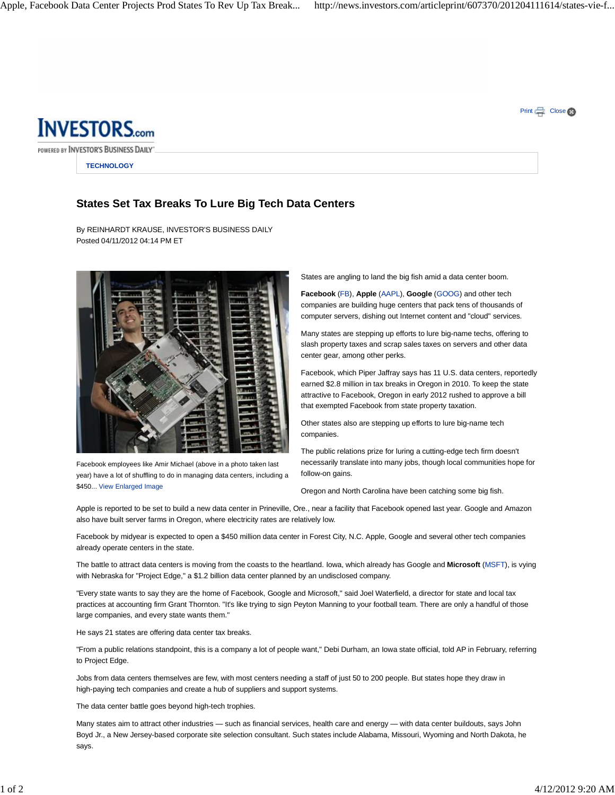Print  $\Box$  Close  $\otimes$ 



POWERED BY INVESTOR'S BUSINESS DAILY'

**TECHNOLOGY**

## **States Set Tax Breaks To Lure Big Tech Data Centers**

By REINHARDT KRAUSE, INVESTOR'S BUSINESS DAILY Posted 04/11/2012 04:14 PM ET



Facebook employees like Amir Michael (above in a photo taken last year) have a lot of shuffling to do in managing data centers, including a \$450... View Enlarged Image

States are angling to land the big fish amid a data center boom.

**Facebook** (FB), **Apple** (AAPL), **Google** (GOOG) and other tech companies are building huge centers that pack tens of thousands of computer servers, dishing out Internet content and "cloud" services.

Many states are stepping up efforts to lure big-name techs, offering to slash property taxes and scrap sales taxes on servers and other data center gear, among other perks.

Facebook, which Piper Jaffray says has 11 U.S. data centers, reportedly earned \$2.8 million in tax breaks in Oregon in 2010. To keep the state attractive to Facebook, Oregon in early 2012 rushed to approve a bill that exempted Facebook from state property taxation.

Other states also are stepping up efforts to lure big-name tech companies.

The public relations prize for luring a cutting-edge tech firm doesn't necessarily translate into many jobs, though local communities hope for follow-on gains.

Oregon and North Carolina have been catching some big fish.

Apple is reported to be set to build a new data center in Prineville, Ore., near a facility that Facebook opened last year. Google and Amazon also have built server farms in Oregon, where electricity rates are relatively low.

Facebook by midyear is expected to open a \$450 million data center in Forest City, N.C. Apple, Google and several other tech companies already operate centers in the state.

The battle to attract data centers is moving from the coasts to the heartland. Iowa, which already has Google and **Microsoft** (MSFT), is vying with Nebraska for "Project Edge," a \$1.2 billion data center planned by an undisclosed company.

"Every state wants to say they are the home of Facebook, Google and Microsoft," said Joel Waterfield, a director for state and local tax practices at accounting firm Grant Thornton. "It's like trying to sign Peyton Manning to your football team. There are only a handful of those large companies, and every state wants them."

He says 21 states are offering data center tax breaks.

"From a public relations standpoint, this is a company a lot of people want," Debi Durham, an Iowa state official, told AP in February, referring to Project Edge.

Jobs from data centers themselves are few, with most centers needing a staff of just 50 to 200 people. But states hope they draw in high-paying tech companies and create a hub of suppliers and support systems.

The data center battle goes beyond high-tech trophies.

Many states aim to attract other industries — such as financial services, health care and energy — with data center buildouts, says John Boyd Jr., a New Jersey-based corporate site selection consultant. Such states include Alabama, Missouri, Wyoming and North Dakota, he says.